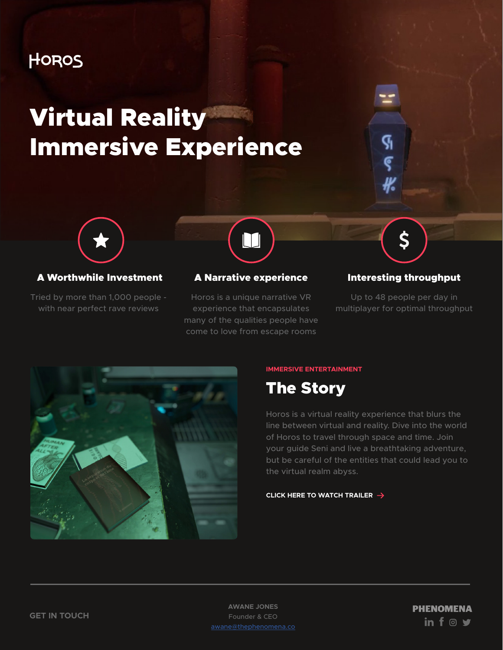## HOROS

# Virtual Reality Immersive Experience



### A Worthwhile Investment

Tried by more than 1,000 people with near perfect rave reviews



### A Narrative experience

Horos is a unique narrative VR experience that encapsulates many of the qualities people have come to love from escape rooms

### Interesting throughput

\$

Ģ

Ç

Up to 48 people per day in multiplayer for optimal throughput



#### **IMMERSIVE ENTERTAINMENT**



Horos is a virtual reality experience that blurs the line between virtual and reality. Dive into the world of Horos to travel through space and time. Join your guide Seni and live a breathtaking adventure, but be careful of the entities that could lead you to the virtual realm abyss.

#### **[CLICK HERE TO WATCH TRAILER](https://vimeo.com/315985815)**